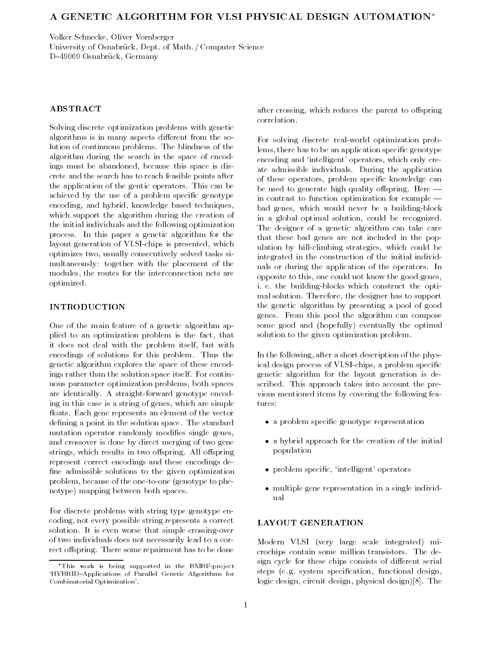# A GENETIC ALGORITHM FOR VLSI PHYSICAL DESIGN AUTOMATION

Volker Schnecke Oliver Vornberger University of Osnabruck Dept-Osnabruck Dept-Osnabruck Dept-Osnabruck Dept-Osnabruck Dept-Osnabruck Dept-Osnabr D-49069 Osnabrück, Germany

## **ABSTRACT**

Solving discrete optimization problems with genetic algorithms is in many aspects different from the solution of continuous problems- The blindness of the algorithm during the search in the space of encod ings must be abandoned, because this space is discrete and the search has to reach feasible points after the application of the generators-dependent operators-dependent operatorsachieved by the use of a problem specific genotype encoding, and hybrid, knowledge based techniques, which support the algorithm during the creation of the initial individuals and the following optimization  $\mathbf{I}$  in this paper and the generator and the generator  $\mathbf{I}$  is the generator of the generator  $\mathbf{I}$ layout generation of VLSI chips is presented which optimizes two, usually consecutively solved tasks simultaneously together with the placement of the modules, the routes for the interconnection nets are optimized-

One of the main feature of a genetic algorithm ap plied to an optimization problem is the fact, that it does not deal with the problem itself, but with encodings of solutions for the solutions for the solutions for the solutions of the solutions of the solutions of the solutions of the solutions of the solutions of the solutions of the solutions of the solutions of the so genetic algorithm explores the space of these encod ings rather than the solution space itself- For contin uous parameter optimization problems, both spaces are identically- A straight forward genotype encod ing in this case is a string of genes, which are simple oats-term and the vector and the vector and vector and vector and vector and vector and vector and vector and dening a point in the solution space- The standard mutation operator randomly modifies single genes, and crossover is done by direct merging of two gene strings which results in two order  $\alpha$  -springs-springrepresent correct encodings and these encodings de fine admissible solutions to the given optimization problem because of the one to phenotype to pheno notype) mapping between both spaces.

For discrete problems with string type genotype en coding, not every possible string represents a correct solution-the-crossing-crossing-crossing-crossing-crossing-crossing-crossing-crossing-crossing-crossing-crossingof two individuals does not necessarily lead to a cor rect rectificity and some repairment from the some repair.

after crossing, which reduces the parent to offspring correlation.

For solving discrete real world optimization prob lems, there has to be an application specific genotype encoding and 'intelligent' operators, which only create admission individuals-definition individuals-definition in  $\mathbf{D}$ of these operators, problem specific knowledge can be used to generate high quality componing social in contrast to function optimization for example block genes which would never be a building of the second state of the building of the building of the building in a global optimal solution, could be recognized. The designer of a genetic algorithm can take care that these bad genes are not included in the pop ulation by hill climbing strategies which could be integrated in the construction of the initial individ uals or during the application of the application of the operators-during the operatorsopposite to this, one could not know the good genes, i-blocks which construct the building of the building of the option of the option of the option of the option of the option of the option of the option of the option of the option of the option of the option of the option mal solution- Therefore the designer has to support the genetic algorithm by presenting a pool of good  $\Box$  From this pool the algorithm can compose the algorithm can compose the algorithm can compose the algorithm can compose the compose of  $\Box$ some good and (hopefully) eventually the optimal solution to the given optimization problem.

In the following, after a short description of the physical design process of VLSI chips a problem specic genetic algorithm for the layout generation is de scribed- takes upproach the present the present the present vious mentioned items by covering the following fea tures

- a problem specic genotype representation
- a hybrid approach for the creation of the initial population
- problem specic intelligent operators
- multiple gene representation in a single individ ual

## LAYOUT GENERATION

Modern VLSI (very large scale integrated) microchips contain some million transistors- The de sign cycle for these chips consists of different serial steps e- g- system specication functional design logic design circuit design physical design- The

<sup>\*</sup>This work is being supported in the BMBF-project HYBRID-Applications of Parallel Genetic Algorithms for Combinatorial Optimization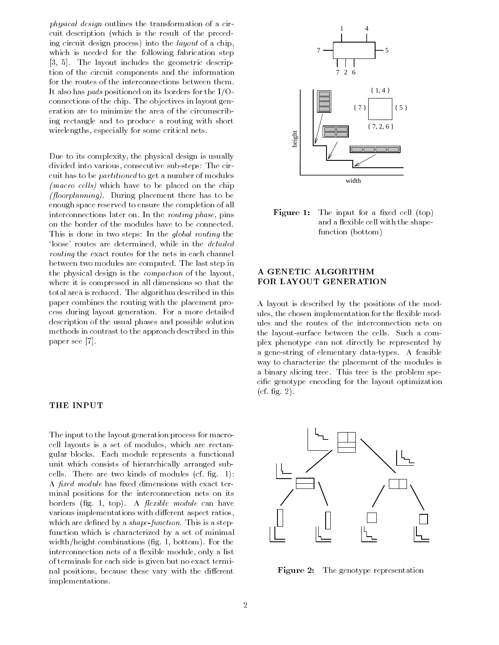physical design outlines the transformation of a cir cuit description (which is the result of the preceding circuit design process) into the *layout* of a chip. which is needed for the following fabrication step - The layout includes the geometric descrip tion of the circuit components and the information for the routes of the interconnections between them-It also has *pads* positioned on its borders for the  $I/O$ connections of the chip- The objectives in layout gen eration are to minimize the area of the circumscrib ing rectangle and to produce a routing with short wirelengths, especially for some critical nets.

Due to its complexity, the physical design is usually as consecutive consecutive subsection in the circumstance of the circumstance subsection of the circumstance o cuit has to be partitioned to get a number of modules  $\mu$  macro cens) which have to be placed on the chip -oorplanning- During placement there has to be enough space reserved to ensure the completion of all interconnections later on- In the routing phase pins on the border of the modules have to be connected. This is done in two steps. In the global routing the loose' routes are determined, while in the *detailed* rowering the exact routes for the nets in each channel. between two modules are computed-with two modules are computed-with two modules are computed-with two modules  $\mathbb{R}^n$ the physical design is the compaction of the layout where it is compressed in all dimensions so that the to the algorithm described in the algorithm described in the theory. The algorithm described in the second in the second in the second in the second in the second in the second in the second in the second in the second in paper combines the routing with the placement pro cess during layout generation- For a more detailed description of the usual phases and possible solution methods in contrast to the approach described in this paper see  $[7]$ .

### THE INPUT

The input to the layout generation process for macro cell layouts is a set of modules, which are rectan- $\Box$  blocks-blocks-blocks-blocks-blocks-blocks-blocks-blocks-blocks-blocks-blocks-blocks-blocks-blocks-blocks-blocks-blocks-blocks-blocks-blocks-blocks-blocks-blocks-blocks-blocks-blocks-blocks-blocks-blocks-blocks-blocks unit which consists of hierarchically arranged sub cells- There are two kinds of modules cf- g-  A fixed module has fixed dimensions with exact terminal positions for the interconnection nets on its  $\frac{1}{2}$  borders and  $\frac{1}{2}$  and  $\frac{1}{2}$  are  $\frac{1}{2}$  and  $\frac{1}{2}$  are  $\frac{1}{2}$  and  $\frac{1}{2}$  are  $\frac{1}{2}$  and  $\frac{1}{2}$  are  $\frac{1}{2}$  and  $\frac{1}{2}$  are  $\frac{1}{2}$  and  $\frac{1}{2}$  are  $\frac{1}{2}$  and  $\frac{1}{2}$  are  $\frac$ various implementations with different aspect ratios, which are denited by a shapefunction-this is a stepfunction which is characterized by a set of minimal with combinations groups groups groups groups groups groups groups and the combinations of the combinations of the combinations of the combinations of the combinations of the combinations of the combinations of the combina interconnection nets of a flexible module, only a list of terminals for each side is given but no exact termi nal positions, because these vary with the different implementations-



**Figure 1:** The input for a fixed cell  $(top)$ and a flexible cell with the shapefunction (bottom)

## A GENETIC ALGORITHM FOR LAYOUT GENERATION

A layout is described by the positions of the mod ules, the chosen implementation for the flexible modules and the routes of the interconnection nets on the layout between the layout between the cells-between the cells-between the cells-between the cells-between the c plex phenotype can not directly be represented by a gene string of elementary data types- A feasible way to characterize the placement of the modules is a binary slicing trees-benzon trees-benzon trees-benzon trees-benzon trees-benzon trees-benzon trees-benzon tr cific genotype encoding for the layout optimization  $\cdots$  .  $\cdots$  .  $\cdots$ 



Figure - The genotype representation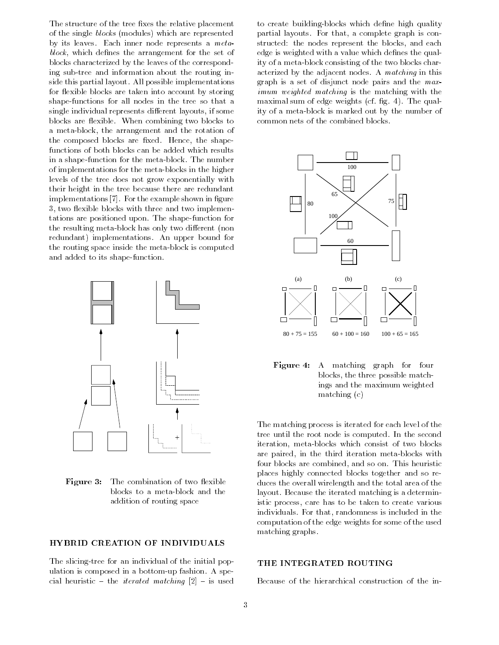The structure of the tree fixes the relative placement of the single *blocks* (modules) which are represented by its leaves. Each miller head leplocemed a meter  $block,$  which defines the arrangement for the set of blocks characterized by the leaves of the correspond ing sub tree and information about the routing in side this partial ing a different partial limit in provincial contracts and for flexible blocks are taken into account by storing shape functions for all nodes in the tree so that a single individual represents different layouts, if some blocks are exibited to block the company of the combined to the combined of the combined of the combined of th a metal arrangement and the rotation of the rotation of the rotation of the rotation of the rotation of the ro the composed are shaped blocks are shaped blocks are shaped functions of both blocks can be added which results in a shape the metal the metal for the metal state of the metal the metal  $\alpha$ of implementations for the meta blocks in the higher levels of the tree does not grow exponentially with their height in the tree because there are redundant implementations - For the example shown in gure 3, two flexible blocks with three and two implementations are positioned upon- The shape function for the resulting meta block has only two di erent non redundant implementations- An upper bound for the routing space inside the meta block is computed and a domestic state and and provided to its shape of the shape of the state of the state of the state of the



**Figure 3:** The combination of two flexible addition of routing space

## HYBRID CREATION OF INDIVIDUALS

The slicing tree for an individual of the initial pop ulation is composed in a bottom is composed in a bottom in a bottom in a bottom in a bottom in a bottom in a s cial heuristic - the *iterated matching*  $[2]$  - is used

to create building blocks which dene high quality partial layouts- For that a complete graph is con structed: the nodes represent the blocks, and each edge is weighted with a value which defines the quality of a meta block consisting of the two blocks char acterization by the adjacent nodes-in matching in this graph is a set of disjunct node pairs and the max imum weighted matching is the matching with the maximal sum of edge weights can be go the sum of the sum of the sum of the sum of the sum of the sum of the sum of the sum of the sum of the sum of the sum of the sum of the sum of the sum of the sum of the sum of the sum ity of a meta block is marked out by the number of common nets of the combined blocks-



Figure 4: A matching graph for four blocks, the three possible matchings and the maximum weighted  $matching (c)$ 

The matching process is iterated for each level of the tree until the root node is computed in the second second iteration meta blocks which consist of two blocks are paired in the third iteration metal in the third iteration four blocks are combined and so on- This heuristic places highly connected blocks together and so re duces the overall wirelength and the total area of the layout- Because the iterated matching is a determin istic process, care has to be taken to create various individuals- For that randomness is included in the computation of the edge weights for some of the used matching graphs.

### THE INTEGRATED ROUTING

Because of the hierarchical construction of the in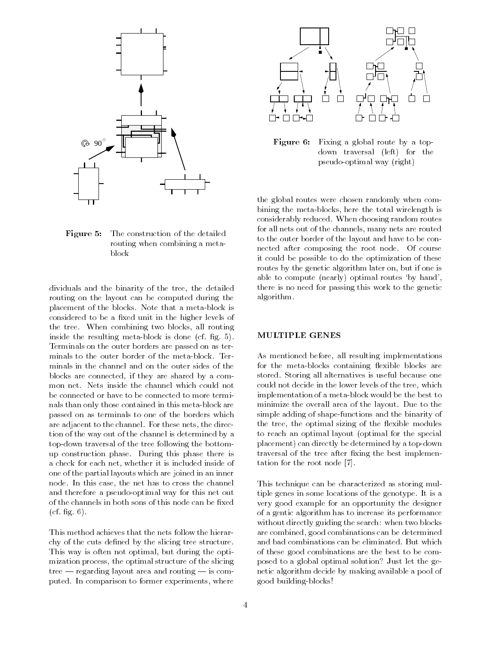

**Figure 5:** The construction of the detailed routing when combining a meta

dividuals and the binarity of the tree, the detailed routing on the layout can be computed during the placement of the blocks-that a metal change of the blocks-that an considered to be a fixed unit in the higher levels of the tree- When combining two blocks all routing inside the resulting meta block is done cf- g- -Terminals on the outer borders are passed on as ter minals in the channel and on the outer sides of the blocks are connected, if they are shared by a combe connected or have to be connected to more termi nals than only those contained in this meta block are passed on as terminals to one of the borders which are adjacent to the channel- received the direct the direct direct the direct of  $\mathcal{L}_\mathcal{A}$ tion of the way out of the channel is determined by a top down traversal of the tree following the bottom up construction phase- During this phase there is a check for each net, whether it is included inside of one of the partial layouts which are joined in an inner node- In this case the net has to cross the channel and therefore a pseudo-optimal way for the forest product the set of the set output of the set output of the s of the channels in both sons of this node can be fixed  $\blacksquare$  -  $\blacksquare$  -  $\blacksquare$  -  $\blacksquare$  -  $\blacksquare$  -  $\blacksquare$  -  $\blacksquare$  -  $\blacksquare$  -  $\blacksquare$  -  $\blacksquare$  -  $\blacksquare$  -  $\blacksquare$  -  $\blacksquare$  -  $\blacksquare$  -  $\blacksquare$  -  $\blacksquare$  -  $\blacksquare$  -  $\blacksquare$  -  $\blacksquare$  -  $\blacksquare$  -  $\blacksquare$  -  $\blacksquare$  -  $\blacksquare$  -  $\blacksquare$  -  $\blacksquare$ 

This method achieves that the nets follow the hierar chy of the cuts defined by the slicing tree structure. This way is often not optimal, but during the optimization process, the optimal structure of the slicing tree  $-$  regarding layout area and routing  $-$  is computed- In comparison to former experiments where



Figure 6: Fixing a global route by a topdown traversal (left) for the pseudo optimal way right

the global routes were chosen randomly when com bining the metal wirelength is the theory wirelength is considerably reduced- When choosing random routes for all nets out of the channels, many nets are routed to the outer border of the layout and have to be con nected after composing the root node- Of course it could be possible to do the optimization of these routes by the genetic algorithm later on, but if one is able to compute (nearly) optimal routes 'by hand', there is no need for passing this work to the genetic algorithm-

## MULTIPLE GENES

As mentioned before, all resulting implementations for the meta blocks containing 
exible blocks are stored-because is useful because one of the storing all alternatives is useful because one one of the storing o could not decide in the lower levels of the tree, which implementation of a meta block would be the best to minimize the overall area of the layout- Due to the simple adding of shape functions and the binarity of the tree, the optimal sizing of the flexible modules to reach an optimal layout (optimal for the special placement can directly be determined by a top down a traversal of the tree after fixing the best implementation for the root node [7].

This technique can be characterized as storing mul tiple genes in some locations of the genotype- It is a very good example for an opportunity the designer of a gentic algorithm has to increase its performance without directly guiding the search: when two blocks are combined, good combinations can be determined of these good combinations are the best to be com posed to a global optimal solution? Just let the genetic algorithm decide by making available a pool of good buildings and building the property of the property of the property of the property of the property of the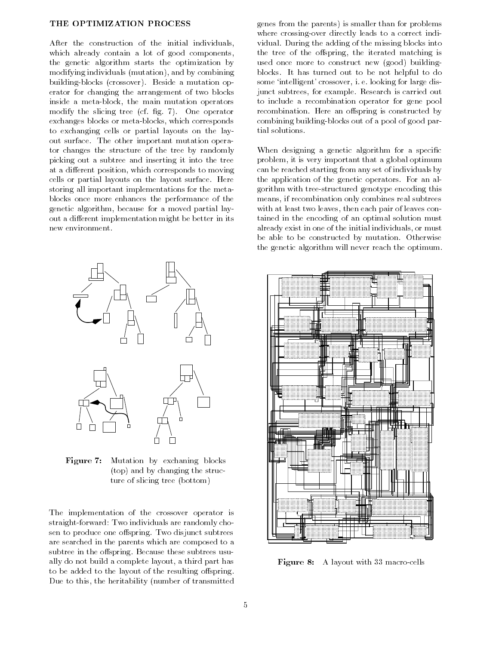After the construction of the initial individuals, which already contain a lot of good components, the genetic algorithm starts the optimization by modifying individuals (mutation), and by combining blocks crossover-blocks crossover-blocks crossover-blocks crossovererator for changing the arrangement of two blocks inside a metal block the main mutation operators are main mutation operators of the main mutation operators of modify the slicing tree cases of the slicing term of the slicing term of the slicing term of the slicing term of the slicing term of the slicing term of the slicing term of the slicing term of the slicing term of the slici exchanges blocks which corresponds to the corresponds which corresponds which corresponds to the corresponds of the corresponds of the corresponds of the corresponds of the corresponds of the corresponds of the corresponds to exchanging cells or partial layouts on the lay out surface-term in the other interaction of the other interaction operation operation operation operation operation operation operation operation operation operation operation operation operation operation operation opera tor changes the structure of the tree by randomly picking out a subtree and inserting it into the tree at a different position, which corresponds to moving cells or partial in the law in the lay out surfacestoring all important implementations for the meta blocks once more enhances the performance of the genetic algorithm, because for a moved partial layout a different implementation might be better in its new environment.



Figure 7: Mutation by exchaning blocks  $(top)$  and by changing the structure of slicing tree (bottom)

The implementation of the crossover operator is straight forward Two individuals are randomly cho sen to produce one one prospect with subtrees a subtrees to are searched in the parents which are composed to a subtree in the observed  $\mathbf{B}$  . The observed usual proposition is the observed usual proposition of  $\mathbf{B}$ ally do not build a complete layout, a third part has to be added to the layout of the resulting offspring. Due to this, the heritability (number of transmitted

genes from the parents) is smaller than for problems where crossing and crossing leads to a correctly leads to a correctly leads to a correctly leads to a correctly leads to a correctly leads to a correctly leads to a correctly leads to a correctly leads to a correctly leads vidual- During the adding of the missing blocks into the tree of the offspring, the iterated matching is used once more to construct new (good) buildingblocks-turned out to be not has turned out to be not helpful to be not helpful to do be not helpful to do be n some intelligent crossover i-t-t-oming for large mas junct subtrees for example- Research is carried out to include a recombination operator for gene pool recommended the company of compared by  $\mathbb{R}^n$ combining combined compared by a pool of good part tial solutions-

When designing a genetic algorithm for a specific problem, it is very important that a global optimum can be reached starting from any set of individuals by the application of the genetic operators- For an al  $\Box$ structured genotype encoding this tree encoding this tree encoding this tree encoding this tree encoding this tree encoding the set of the set of the set of the set of the set of the set of the set of the set of the s means if recombination only combines real subtrees with at least two leaves, then each pair of leaves contained in the encoding of an optimal solution must already exist in one of the initial individuals, or must be able to be constructed by mutation- Otherwise the genetic algorithm will never reach the optimum.



Figure A layout with macro cells